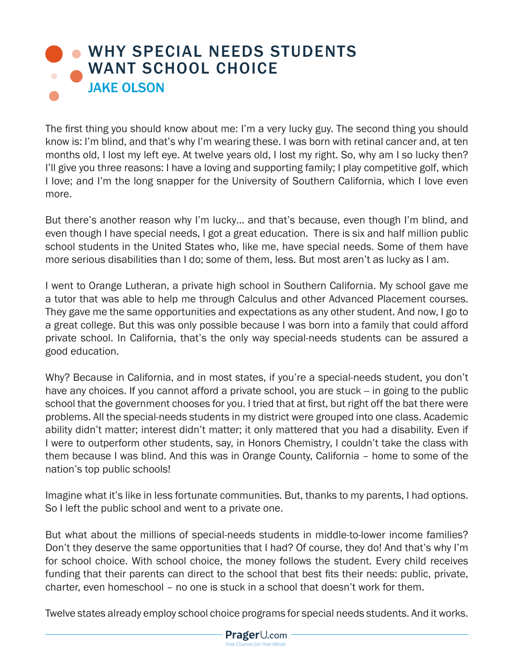## **[WHY SPECIAL NEEDS STUDENTS](https://www.prageru.com/courses/political-science/why-special-needs-students-want-school-choice)** WANT SCHOOL CHOICE JAKE OLSON

The first thing you should know about me: I'm a very lucky guy. The second thing you should know is: I'm blind, and that's why I'm wearing these. I was born with retinal cancer and, at ten months old, I lost my left eye. At twelve years old, I lost my right. So, why am I so lucky then? I'll give you three reasons: I have a loving and supporting family; I play competitive golf, which I love; and I'm the long snapper for the University of Southern California, which I love even more.

But there's another reason why I'm lucky… and that's because, even though I'm blind, and even though I have special needs, I got a great education. There is six and half million public school students in the United States who, like me, have special needs. Some of them have more serious disabilities than I do; some of them, less. But most aren't as lucky as I am.

I went to Orange Lutheran, a private high school in Southern California. My school gave me a tutor that was able to help me through Calculus and other Advanced Placement courses. They gave me the same opportunities and expectations as any other student. And now, I go to a great college. But this was only possible because I was born into a family that could afford private school. In California, that's the only way special-needs students can be assured a good education.

Why? Because in California, and in most states, if you're a special-needs student, you don't have any choices. If you cannot afford a private school, you are stuck -- in going to the public school that the government chooses for you. I tried that at first, but right off the bat there were problems. All the special-needs students in my district were grouped into one class. Academic ability didn't matter; interest didn't matter; it only mattered that you had a disability. Even if I were to outperform other students, say, in Honors Chemistry, I couldn't take the class with them because I was blind. And this was in Orange County, California – home to some of the nation's top public schools!

Imagine what it's like in less fortunate communities. But, thanks to my parents, I had options. So I left the public school and went to a private one.

But what about the millions of special-needs students in middle-to-lower income families? Don't they deserve the same opportunities that I had? Of course, they do! And that's why I'm for school choice. With school choice, the money follows the student. Every child receives funding that their parents can direct to the school that best fits their needs: public, private, charter, even homeschool – no one is stuck in a school that doesn't work for them.

Twelve states already employ school choice programs for special needs students. And it works.